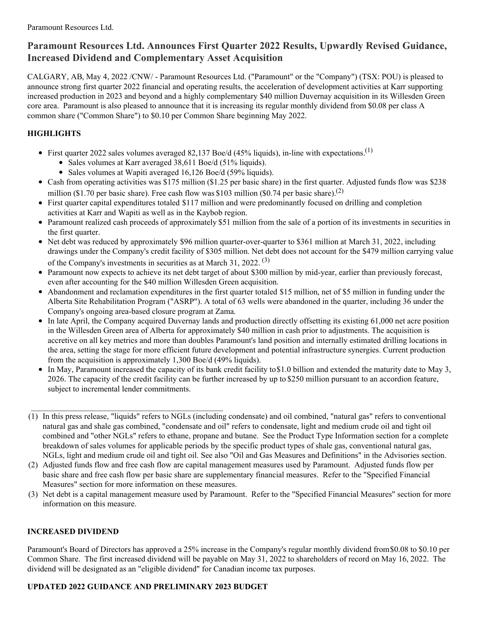# **Paramount Resources Ltd. Announces First Quarter 2022 Results, Upwardly Revised Guidance, Increased Dividend and Complementary Asset Acquisition**

CALGARY, AB, May 4, 2022 /CNW/ - Paramount Resources Ltd. ("Paramount" or the "Company") (TSX: POU) is pleased to announce strong first quarter 2022 financial and operating results, the acceleration of development activities at Karr supporting increased production in 2023 and beyond and a highly complementary \$40 million Duvernay acquisition in its Willesden Green core area. Paramount is also pleased to announce that it is increasing its regular monthly dividend from \$0.08 per class A common share ("Common Share") to \$0.10 per Common Share beginning May 2022.

## **HIGHLIGHTS**

- First quarter 2022 sales volumes averaged 82,137 Boe/d (45% liquids), in-line with expectations.<sup>(1)</sup>
	- Sales volumes at Karr averaged 38,611 Boe/d (51% liquids).
	- Sales volumes at Wapiti averaged 16,126 Boe/d (59% liquids).
- Cash from operating activities was \$175 million (\$1.25 per basic share) in the first quarter. Adjusted funds flow was \$238 million (\$1.70 per basic share). Free cash flow was \$103 million (\$0.74 per basic share).<sup>(2)</sup>
- First quarter capital expenditures totaled \$117 million and were predominantly focused on drilling and completion activities at Karr and Wapiti as well as in the Kaybob region.
- Paramount realized cash proceeds of approximately \$51 million from the sale of a portion of its investments in securities in the first quarter.
- Net debt was reduced by approximately \$96 million quarter-over-quarter to \$361 million at March 31, 2022, including drawings under the Company's credit facility of \$305 million. Net debt does not account for the \$479 million carrying value of the Company's investments in securities as at March 31, 2022.<sup>(3)</sup>
- Paramount now expects to achieve its net debt target of about \$300 million by mid-year, earlier than previously forecast, even after accounting for the \$40 million Willesden Green acquisition.
- Abandonment and reclamation expenditures in the first quarter totaled \$15 million, net of \$5 million in funding under the Alberta Site Rehabilitation Program ("ASRP"). A total of 63 wells were abandoned in the quarter, including 36 under the Company's ongoing area-based closure program at Zama.
- In late April, the Company acquired Duvernay lands and production directly offsetting its existing 61,000 net acre position in the Willesden Green area of Alberta for approximately \$40 million in cash prior to adjustments. The acquisition is accretive on all key metrics and more than doubles Paramount's land position and internally estimated drilling locations in the area, setting the stage for more efficient future development and potential infrastructure synergies. Current production from the acquisition is approximately 1,300 Boe/d (49% liquids).
- In May, Paramount increased the capacity of its bank credit facility to \$1.0 billion and extended the maturity date to May 3, 2026. The capacity of the credit facility can be further increased by up to \$250 million pursuant to an accordion feature, subject to incremental lender commitments.
- (1) In this press release, "liquids" refers to NGLs (including condensate) and oil combined, "natural gas" refers to conventional natural gas and shale gas combined, "condensate and oil" refers to condensate, light and medium crude oil and tight oil combined and "other NGLs" refers to ethane, propane and butane. See the Product Type Information section for a complete breakdown of sales volumes for applicable periods by the specific product types of shale gas, conventional natural gas, NGLs, light and medium crude oil and tight oil. See also "Oil and Gas Measures and Definitions" in the Advisories section.
- (2) Adjusted funds flow and free cash flow are capital management measures used by Paramount. Adjusted funds flow per basic share and free cash flow per basic share are supplementary financial measures. Refer to the "Specified Financial Measures" section for more information on these measures.
- (3) Net debt is a capital management measure used by Paramount. Refer to the "Specified Financial Measures" section for more information on this measure.

## **INCREASED DIVIDEND**

Paramount's Board of Directors has approved a 25% increase in the Company's regular monthly dividend from\$0.08 to \$0.10 per Common Share. The first increased dividend will be payable on May 31, 2022 to shareholders of record on May 16, 2022. The dividend will be designated as an "eligible dividend" for Canadian income tax purposes.

## **UPDATED 2022 GUIDANCE AND PRELIMINARY 2023 BUDGET**

 $\mathcal{L}_\text{max} = \mathcal{L}_\text{max} = \mathcal{L}_\text{max} = \mathcal{L}_\text{max} = \mathcal{L}_\text{max} = \mathcal{L}_\text{max} = \mathcal{L}_\text{max}$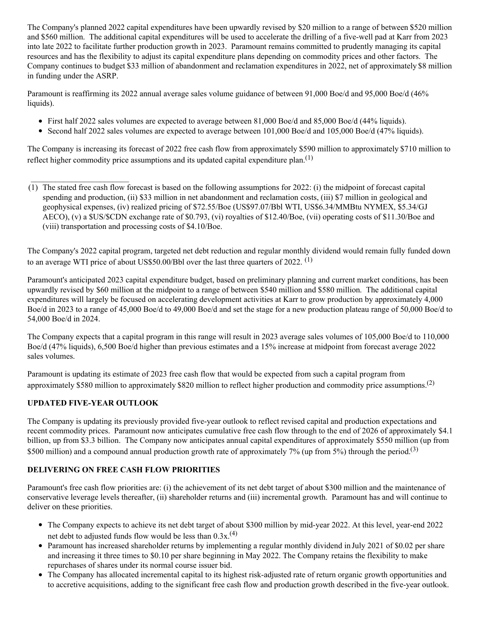The Company's planned 2022 capital expenditures have been upwardly revised by \$20 million to a range of between \$520 million and \$560 million. The additional capital expenditures will be used to accelerate the drilling of a five-well pad at Karr from 2023 into late 2022 to facilitate further production growth in 2023. Paramount remains committed to prudently managing its capital resources and has the flexibility to adjust its capital expenditure plans depending on commodity prices and other factors. The Company continues to budget \$33 million of abandonment and reclamation expenditures in 2022, net of approximately \$8 million in funding under the ASRP.

Paramount is reaffirming its 2022 annual average sales volume guidance of between 91,000 Boe/d and 95,000 Boe/d (46%) liquids).

- First half 2022 sales volumes are expected to average between 81,000 Boe/d and 85,000 Boe/d (44% liquids).
- Second half 2022 sales volumes are expected to average between 101,000 Boe/d and 105,000 Boe/d (47% liquids).

The Company is increasing its forecast of 2022 free cash flow from approximately \$590 million to approximately \$710 million to reflect higher commodity price assumptions and its updated capital expenditure plan.<sup>(1)</sup>

(1) The stated free cash flow forecast is based on the following assumptions for 2022: (i) the midpoint of forecast capital spending and production, (ii) \$33 million in net abandonment and reclamation costs, (iii) \$7 million in geological and geophysical expenses, (iv) realized pricing of \$72.55/Boe (US\$97.07/Bbl WTI, US\$6.34/MMBtu NYMEX, \$5.34/GJ AECO), (v) a \$US/\$CDN exchange rate of \$0.793, (vi) royalties of \$12.40/Boe, (vii) operating costs of \$11.30/Boe and (viii) transportation and processing costs of \$4.10/Boe.

The Company's 2022 capital program, targeted net debt reduction and regular monthly dividend would remain fully funded down to an average WTI price of about US\$50.00/Bbl over the last three quarters of 2022.  $^{(1)}$ 

Paramount's anticipated 2023 capital expenditure budget, based on preliminary planning and current market conditions, has been upwardly revised by \$60 million at the midpoint to a range of between \$540 million and \$580 million. The additional capital expenditures will largely be focused on accelerating development activities at Karr to grow production by approximately 4,000 Boe/d in 2023 to a range of 45,000 Boe/d to 49,000 Boe/d and set the stage for a new production plateau range of 50,000 Boe/d to 54,000 Boe/d in 2024.

The Company expects that a capital program in this range will result in 2023 average sales volumes of 105,000 Boe/d to 110,000 Boe/d (47% liquids), 6,500 Boe/d higher than previous estimates and a 15% increase at midpoint from forecast average 2022 sales volumes.

Paramount is updating its estimate of 2023 free cash flow that would be expected from such a capital program from approximately \$580 million to approximately \$820 million to reflect higher production and commodity price assumptions.<sup>(2)</sup>

### **UPDATED FIVE-YEAR OUTLOOK**

The Company is updating its previously provided five-year outlook to reflect revised capital and production expectations and recent commodity prices. Paramount now anticipates cumulative free cash flow through to the end of 2026 of approximately \$4.1 billion, up from \$3.3 billion. The Company now anticipates annual capital expenditures of approximately \$550 million (up from \$500 million) and a compound annual production growth rate of approximately 7% (up from 5%) through the period.<sup>(3)</sup>

### **DELIVERING ON FREE CASH FLOW PRIORITIES**

Paramount's free cash flow priorities are: (i) the achievement of its net debt target of about \$300 million and the maintenance of conservative leverage levels thereafter, (ii) shareholder returns and (iii) incremental growth. Paramount has and will continue to deliver on these priorities.

- The Company expects to achieve its net debt target of about \$300 million by mid-year 2022. At this level, year-end 2022 net debt to adjusted funds flow would be less than  $0.3x^{(4)}$
- Paramount has increased shareholder returns by implementing a regular monthly dividend in July 2021 of \$0.02 per share and increasing it three times to \$0.10 per share beginning in May 2022. The Company retains the flexibility to make repurchases of shares under its normal course issuer bid.
- The Company has allocated incremental capital to its highest risk-adjusted rate of return organic growth opportunities and to accretive acquisitions, adding to the significant free cash flow and production growth described in the five-year outlook.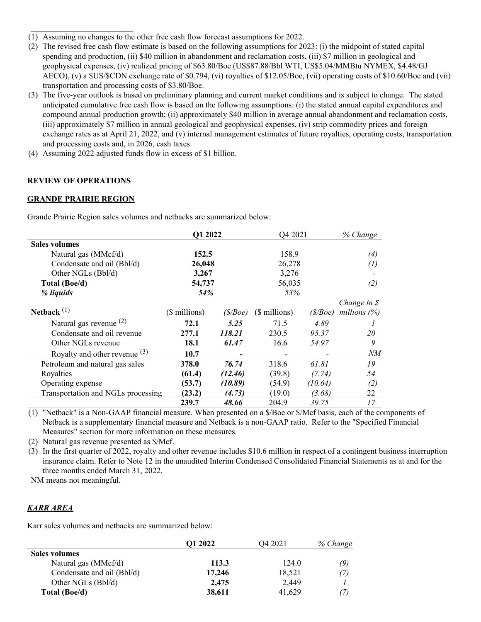- (1) Assuming no changes to the other free cash flow forecast assumptions for 2022.
- (2) The revised free cash flow estimate is based on the following assumptions for 2023: (i) the midpoint of stated capital spending and production, (ii) \$40 million in abandonment and reclamation costs, (iii) \$7 million in geological and geophysical expenses, (iv) realized pricing of \$63.80/Boe (US\$87.88/Bbl WTI, US\$5.04/MMBtu NYMEX, \$4.48/GJ AECO), (v) a \$US/\$CDN exchange rate of \$0.794, (vi) royalties of \$12.05/Boe, (vii) operating costs of \$10.60/Boe and (vii) transportation and processing costs of \$3.80/Boe.
- (3) The five-year outlook is based on preliminary planning and current market conditions and is subject to change. The stated anticipated cumulative free cash flow is based on the following assumptions: (i) the stated annual capital expenditures and compound annual production growth; (ii) approximately \$40 million in average annual abandonment and reclamation costs, (iii) approximately \$7 million in annual geological and geophysical expenses, (iv) strip commodity prices and foreign exchange rates as at April 21, 2022, and (v) internal management estimates of future royalties, operating costs, transportation and processing costs and, in 2026, cash taxes.
- (4) Assuming 2022 adjusted funds flow in excess of \$1 billion.

## **REVIEW OF OPERATIONS**

### **GRANDE PRAIRIE REGION**

Grande Prairie Region sales volumes and netbacks are summarized below:

|                                    | Q1 2022       |         | Q4 2021       | % Change |                |
|------------------------------------|---------------|---------|---------------|----------|----------------|
| <b>Sales volumes</b>               |               |         |               |          |                |
| Natural gas (MMcf/d)               | 152.5         |         | 158.9         |          | (4)            |
| Condensate and oil (Bbl/d)         | 26,048        |         | 26,278        |          | $^{(1)}$       |
| Other NGLs (Bbl/d)                 | 3,267         |         | 3,276         |          |                |
| Total (Boe/d)                      | 54,737        |         | 56,035        |          | (2)            |
| % liquids                          | 54%           |         | 53%           |          |                |
|                                    |               |         |               |          | Change in \$   |
| Netback $(1)$                      | (\$ millions) | (S/Boe) | (\$ millions) | (S/Boe)  | millions $(%)$ |
| Natural gas revenue $(2)$          | 72.1          | 5.25    | 71.5          | 4.89     |                |
| Condensate and oil revenue         | 277.1         | 118.21  | 230.5         | 95.37    | 20             |
| Other NGLs revenue                 | 18.1          | 61.47   | 16.6          | 54.97    | 9              |
| Royalty and other revenue $(3)$    | 10.7          |         |               |          | NМ             |
| Petroleum and natural gas sales    | 378.0         | 76.74   | 318.6         | 61.81    | 19             |
| Royalties                          | (61.4)        | (12.46) | (39.8)        | (7.74)   | 54             |
| Operating expense                  | (53.7)        | (10.89) | (54.9)        | (10.64)  | (2)            |
| Transportation and NGLs processing | (23.2)        | (4.73)  | (19.0)        | (3.68)   | 22             |
|                                    | 239.7         | 48.66   | 204.9         | 39.75    | 17             |

(1) "Netback" is a Non-GAAP financial measure. When presented on a \$/Boe or \$/Mcf basis, each of the components of Netback is a supplementary financial measure and Netback is a non-GAAP ratio. Refer to the "Specified Financial Measures" section for more information on these measures.

(2) Natural gas revenue presented as \$/Mcf.

(3) In the first quarter of 2022, royalty and other revenue includes \$10.6 million in respect of a contingent business interruption insurance claim. Refer to Note 12 in the unaudited Interim Condensed Consolidated Financial Statements as at and for the three months ended March 31, 2022.

NM means not meaningful.

## *KARR AREA*

Karr sales volumes and netbacks are summarized below:

|                            | <b>O1 2022</b> | O4 2021 | % Change |
|----------------------------|----------------|---------|----------|
| <b>Sales volumes</b>       |                |         |          |
| Natural gas (MMcf/d)       | 113.3          | 124.0   | (9)      |
| Condensate and oil (Bbl/d) | 17,246         | 18,521  | (7)      |
| Other NGLs (Bbl/d)         | 2.475          | 2.449   |          |
| Total (Boe/d)              | 38,611         | 41,629  |          |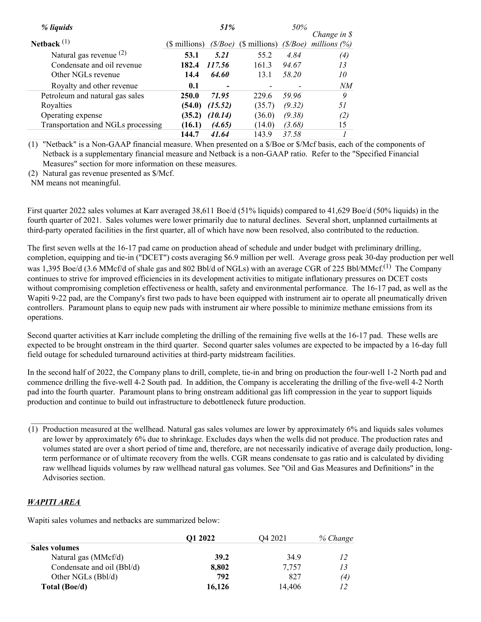| % liquids                          |               | 51%      |               | 50%     |                        |
|------------------------------------|---------------|----------|---------------|---------|------------------------|
|                                    |               |          |               |         | Change in $\mathcal S$ |
| Netback $(1)$                      | (\$ millions) | (\$/Boe) | (\$ millions) | (S/Boe) | millions $(\%)$        |
| Natural gas revenue $(2)$          | 53.1          | 5.21     | 55.2          | 4.84    | (4)                    |
| Condensate and oil revenue         | 182.4         | 117.56   | 161.3         | 94.67   | 13                     |
| Other NGLs revenue                 | 14.4          | 64.60    | 13.1          | 58.20   | 10                     |
| Royalty and other revenue          | 0.1           | -        |               |         | NМ                     |
| Petroleum and natural gas sales    | 250.0         | 71.95    | 229.6         | 59.96   | 9                      |
| Royalties                          | (54.0)        | (15.52)  | (35.7)        | (9.32)  | 51                     |
| Operating expense                  | (35.2)        | (10.14)  | (36.0)        | (9.38)  | (2)                    |
| Transportation and NGLs processing | (16.1)        | (4.65)   | (14.0)        | (3.68)  | 15                     |
|                                    | 144.7         | 41.64    | 143.9         | 37.58   |                        |

(1) "Netback" is a Non-GAAP financial measure. When presented on a \$/Boe or \$/Mcf basis, each of the components of Netback is a supplementary financial measure and Netback is a non-GAAP ratio. Refer to the "Specified Financial Measures" section for more information on these measures.

(2) Natural gas revenue presented as \$/Mcf.

NM means not meaningful.

First quarter 2022 sales volumes at Karr averaged 38,611 Boe/d (51% liquids) compared to 41,629 Boe/d (50% liquids) in the fourth quarter of 2021. Sales volumes were lower primarily due to natural declines. Several short, unplanned curtailments at third-party operated facilities in the first quarter, all of which have now been resolved, also contributed to the reduction.

The first seven wells at the 16-17 pad came on production ahead of schedule and under budget with preliminary drilling, completion, equipping and tie-in ("DCET") costs averaging \$6.9 million per well. Average gross peak 30-day production per well was 1,395 Boe/d (3.6 MMcf/d of shale gas and 802 Bbl/d of NGLs) with an average CGR of 225 Bbl/MMcf.<sup>(1)</sup> The Company continues to strive for improved efficiencies in its development activities to mitigate inflationary pressures on DCET costs without compromising completion effectiveness or health, safety and environmental performance. The 16-17 pad, as well as the Wapiti 9-22 pad, are the Company's first two pads to have been equipped with instrument air to operate all pneumatically driven controllers. Paramount plans to equip new pads with instrument air where possible to minimize methane emissions from its operations.

Second quarter activities at Karr include completing the drilling of the remaining five wells at the 16-17 pad. These wells are expected to be brought onstream in the third quarter. Second quarter sales volumes are expected to be impacted by a 16-day full field outage for scheduled turnaround activities at third-party midstream facilities.

In the second half of 2022, the Company plans to drill, complete, tie-in and bring on production the four-well 1-2 North pad and commence drilling the five-well 4-2 South pad. In addition, the Company is accelerating the drilling of the five-well 4-2 North pad into the fourth quarter. Paramount plans to bring onstream additional gas lift compression in the year to support liquids production and continue to build out infrastructure to debottleneck future production.

### *WAPITI AREA*

 $\mathcal{L}_\text{max}$  , where  $\mathcal{L}_\text{max}$  and  $\mathcal{L}_\text{max}$ 

Wapiti sales volumes and netbacks are summarized below:

|                            | <b>O1 2022</b> | O <sub>4</sub> 2021 | % Change |
|----------------------------|----------------|---------------------|----------|
| <b>Sales volumes</b>       |                |                     |          |
| Natural gas (MMcf/d)       | 39.2           | 34.9                | 12       |
| Condensate and oil (Bbl/d) | 8,802          | 7,757               | 13       |
| Other NGLs (Bbl/d)         | 792            | 827                 | (4)      |
| Total (Boe/d)              | 16,126         | 14.406              |          |

<sup>(1)</sup> Production measured at the wellhead. Natural gas sales volumes are lower by approximately 6% and liquids sales volumes are lower by approximately 6% due to shrinkage. Excludes days when the wells did not produce. The production rates and volumes stated are over a short period of time and, therefore, are not necessarily indicative of average daily production, longterm performance or of ultimate recovery from the wells. CGR means condensate to gas ratio and is calculated by dividing raw wellhead liquids volumes by raw wellhead natural gas volumes. See "Oil and Gas Measures and Definitions" in the Advisories section.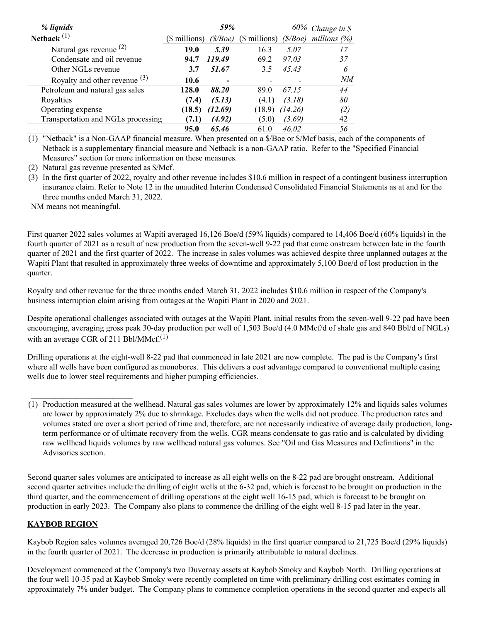| % liquids                          |               | 59%            |               |         | $60\%$ Change in \$ |
|------------------------------------|---------------|----------------|---------------|---------|---------------------|
| Netback $(1)$                      | (\$ millions) | $(\$/Boe)$     | (\$ millions) | (S/Boe) | millions $(\%)$     |
| Natural gas revenue $(2)$          | 19.0          | 5.39           | 16.3          | 5.07    | 17                  |
| Condensate and oil revenue         | 94.7          | 119.49         | 69.2          | 97.03   | 37                  |
| Other NGLs revenue                 | 3.7           | 51.67          | 3.5           | 45.43   | 6                   |
| Royalty and other revenue $(3)$    | 10.6          | $\blacksquare$ |               |         | NM                  |
| Petroleum and natural gas sales    | 128.0         | 88.20          | 89.0          | 67.15   | 44                  |
| Royalties                          | (7.4)         | (5.13)         | (4.1)         | (3.18)  | 80                  |
| Operating expense                  | (18.5)        | (12.69)        | (18.9)        | (14.26) | (2)                 |
| Transportation and NGLs processing | (7.1)         | (4.92)         | (5.0)         | (3.69)  | 42                  |
|                                    | 95.0          | 65.46          | 61.0          | 46.02   | 56                  |

(1) "Netback" is a Non-GAAP financial measure. When presented on a \$/Boe or \$/Mcf basis, each of the components of Netback is a supplementary financial measure and Netback is a non-GAAP ratio. Refer to the "Specified Financial Measures" section for more information on these measures.

(2) Natural gas revenue presented as \$/Mcf.

(3) In the first quarter of 2022, royalty and other revenue includes \$10.6 million in respect of a contingent business interruption insurance claim. Refer to Note 12 in the unaudited Interim Condensed Consolidated Financial Statements as at and for the three months ended March 31, 2022.

NM means not meaningful.

First quarter 2022 sales volumes at Wapiti averaged 16,126 Boe/d (59% liquids) compared to 14,406 Boe/d (60% liquids) in the fourth quarter of 2021 as a result of new production from the seven-well 9-22 pad that came onstream between late in the fourth quarter of 2021 and the first quarter of 2022. The increase in sales volumes was achieved despite three unplanned outages at the Wapiti Plant that resulted in approximately three weeks of downtime and approximately 5,100 Boe/d of lost production in the quarter.

Royalty and other revenue for the three months ended March 31, 2022 includes \$10.6 million in respect of the Company's business interruption claim arising from outages at the Wapiti Plant in 2020 and 2021.

Despite operational challenges associated with outages at the Wapiti Plant, initial results from the seven-well 9-22 pad have been encouraging, averaging gross peak 30-day production per well of 1,503 Boe/d (4.0 MMcf/d of shale gas and 840 Bbl/d of NGLs) with an average CGR of 211 Bbl/MMcf. $^{(1)}$ 

Drilling operations at the eight-well 8-22 pad that commenced in late 2021 are now complete. The pad is the Company's first where all wells have been configured as monobores. This delivers a cost advantage compared to conventional multiple casing wells due to lower steel requirements and higher pumping efficiencies.

Second quarter sales volumes are anticipated to increase as all eight wells on the 8-22 pad are brought onstream. Additional second quarter activities include the drilling of eight wells at the 6-32 pad, which is forecast to be brought on production in the third quarter, and the commencement of drilling operations at the eight well 16-15 pad, which is forecast to be brought on production in early 2023. The Company also plans to commence the drilling of the eight well 8-15 pad later in the year.

### **KAYBOB REGION**

 $\mathcal{L}_\text{max}$  , where  $\mathcal{L}_\text{max}$  and  $\mathcal{L}_\text{max}$ 

Kaybob Region sales volumes averaged 20,726 Boe/d (28% liquids) in the first quarter compared to 21,725 Boe/d (29% liquids) in the fourth quarter of 2021. The decrease in production is primarily attributable to natural declines.

Development commenced at the Company's two Duvernay assets at Kaybob Smoky and Kaybob North. Drilling operations at the four well 10-35 pad at Kaybob Smoky were recently completed on time with preliminary drilling cost estimates coming in approximately 7% under budget. The Company plans to commence completion operations in the second quarter and expects all

<sup>(1)</sup> Production measured at the wellhead. Natural gas sales volumes are lower by approximately 12% and liquids sales volumes are lower by approximately 2% due to shrinkage. Excludes days when the wells did not produce. The production rates and volumes stated are over a short period of time and, therefore, are not necessarily indicative of average daily production, longterm performance or of ultimate recovery from the wells. CGR means condensate to gas ratio and is calculated by dividing raw wellhead liquids volumes by raw wellhead natural gas volumes. See "Oil and Gas Measures and Definitions" in the Advisories section.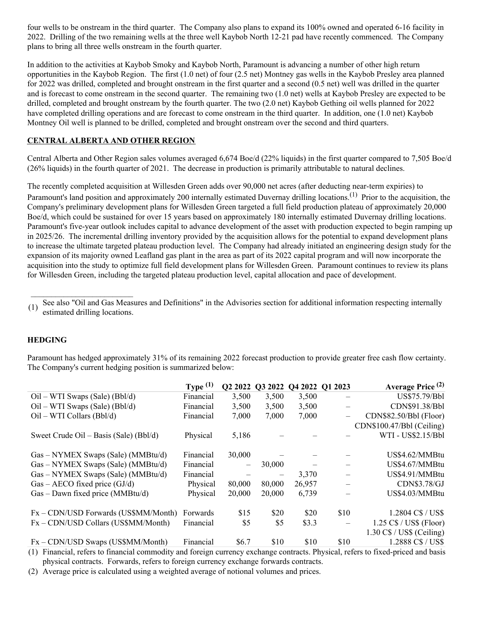four wells to be onstream in the third quarter. The Company also plans to expand its 100% owned and operated 6-16 facility in 2022. Drilling of the two remaining wells at the three well Kaybob North 12-21 pad have recently commenced. The Company plans to bring all three wells onstream in the fourth quarter.

In addition to the activities at Kaybob Smoky and Kaybob North, Paramount is advancing a number of other high return opportunities in the Kaybob Region. The first (1.0 net) of four (2.5 net) Montney gas wells in the Kaybob Presley area planned for 2022 was drilled, completed and brought onstream in the first quarter and a second (0.5 net) well was drilled in the quarter and is forecast to come onstream in the second quarter. The remaining two (1.0 net) wells at Kaybob Presley are expected to be drilled, completed and brought onstream by the fourth quarter. The two (2.0 net) Kaybob Gething oil wells planned for 2022 have completed drilling operations and are forecast to come onstream in the third quarter. In addition, one (1.0 net) Kaybob Montney Oil well is planned to be drilled, completed and brought onstream over the second and third quarters.

## **CENTRAL ALBERTA AND OTHER REGION**

Central Alberta and Other Region sales volumes averaged 6,674 Boe/d (22% liquids) in the first quarter compared to 7,505 Boe/d (26% liquids) in the fourth quarter of 2021. The decrease in production is primarily attributable to natural declines.

The recently completed acquisition at Willesden Green adds over 90,000 net acres (after deducting near-term expiries) to Paramount's land position and approximately 200 internally estimated Duvernay drilling locations.<sup>(1)</sup> Prior to the acquisition, the Company's preliminary development plans for Willesden Green targeted a full field production plateau of approximately 20,000 Boe/d, which could be sustained for over 15 years based on approximately 180 internally estimated Duvernay drilling locations. Paramount's five-year outlook includes capital to advance development of the asset with production expected to begin ramping up in 2025/26. The incremental drilling inventory provided by the acquisition allows for the potential to expand development plans to increase the ultimate targeted plateau production level. The Company had already initiated an engineering design study for the expansion of its majority owned Leafland gas plant in the area as part of its 2022 capital program and will now incorporate the acquisition into the study to optimize full field development plans for Willesden Green. Paramount continues to review its plans for Willesden Green, including the targeted plateau production level, capital allocation and pace of development.

(1) See also "Oil and Gas Measures and Definitions" in the Advisories section for additional information respecting internally estimated drilling locations.

#### **HEDGING**

Paramount has hedged approximately 31% of its remaining 2022 forecast production to provide greater free cash flow certainty. The Company's current hedging position is summarized below:

|                                        | Type $(1)$ | Q2 2022 | Q3 2022 | Q4 2022 Q1 2023 |          | Average Price <sup>(2)</sup>       |
|----------------------------------------|------------|---------|---------|-----------------|----------|------------------------------------|
| $Oil - WTI Swaps (Sale) (Bbl/d)$       | Financial  | 3,500   | 3,500   | 3,500           | $\equiv$ | US\$75.79/Bbl                      |
| $Oil - WTI Swaps (Sale) (Bbl/d)$       | Financial  | 3,500   | 3,500   | 3,500           |          | CDN\$91.38/Bbl                     |
| $Oil - WTI$ Collars (Bbl/d)            | Financial  | 7,000   | 7,000   | 7,000           | $\equiv$ | CDN\$82.50/Bbl (Floor)             |
|                                        |            |         |         |                 |          | CDN\$100.47/Bbl (Ceiling)          |
| Sweet Crude Oil – Basis (Sale) (Bbl/d) | Physical   | 5,186   |         |                 |          | WTI - US\$2.15/Bbl                 |
|                                        |            |         |         |                 |          |                                    |
| Gas – NYMEX Swaps (Sale) (MMBtu/d)     | Financial  | 30,000  |         |                 |          | US\$4.62/MMBtu                     |
| Gas – NYMEX Swaps (Sale) (MMBtu/d)     | Financial  |         | 30,000  |                 |          | US\$4.67/MMBtu                     |
| Gas – NYMEX Swaps (Sale) (MMBtu/d)     | Financial  |         |         | 3,370           |          | US\$4.91/MMBtu                     |
| $Gas - AECO$ fixed price $(GJ/d)$      | Physical   | 80,000  | 80,000  | 26,957          | $\equiv$ | CDN\$3.78/GJ                       |
| Gas – Dawn fixed price (MMBtu/d)       | Physical   | 20,000  | 20,000  | 6,739           |          | US\$4.03/MMBtu                     |
|                                        |            |         |         |                 |          |                                    |
| Fx – CDN/USD Forwards (US\$MM/Month)   | Forwards   | \$15    | \$20    | \$20            | \$10     | 1.2804 C\$ / US\$                  |
| Fx – CDN/USD Collars (US\$MM/Month)    | Financial  | \$5     | \$5     | \$3.3           |          | $1.25 \text{ C}\$ / US\$ (Floor)   |
|                                        |            |         |         |                 |          | $1.30 \text{ C}\$ / US\$ (Ceiling) |
| $Fx - CDN/USD$ Swaps (US\$MM/Month)    | Financial  | \$6.7   | \$10    | \$10            | \$10     | 1.2888 C\$ / US\$                  |

(1) Financial, refers to financial commodity and foreign currency exchange contracts. Physical, refers to fixed-priced and basis physical contracts. Forwards, refers to foreign currency exchange forwards contracts.

(2) Average price is calculated using a weighted average of notional volumes and prices.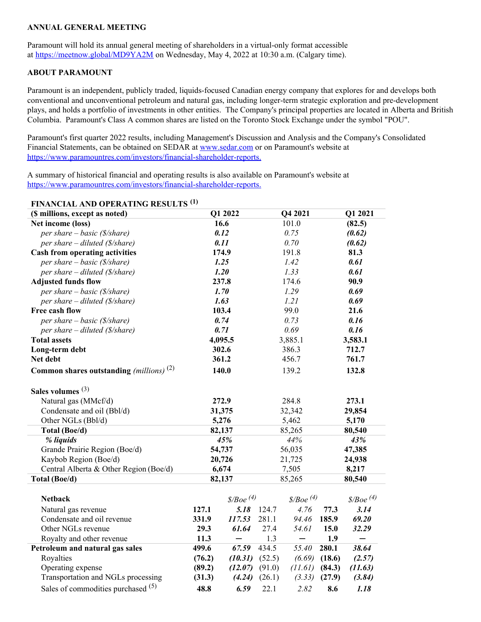### **ANNUAL GENERAL MEETING**

Paramount will hold its annual general meeting of shareholders in a virtual-only format accessible at [https://meetnow.global/MD9YA2M](https://c212.net/c/link/?t=0&l=en&o=3523818-1&h=2101613643&u=https%3A%2F%2Fmeetnow.global%2FMD9YA2M&a=https%3A%2F%2Fmeetnow.global%2FMD9YA2M) on Wednesday, May 4, 2022 at 10:30 a.m. (Calgary time).

#### **ABOUT PARAMOUNT**

Paramount is an independent, publicly traded, liquids-focused Canadian energy company that explores for and develops both conventional and unconventional petroleum and natural gas, including longer-term strategic exploration and pre-development plays, and holds a portfolio of investments in other entities. The Company's principal properties are located in Alberta and British Columbia. Paramount's Class A common shares are listed on the Toronto Stock Exchange under the symbol "POU".

Paramount's first quarter 2022 results, including Management's Discussion and Analysis and the Company's Consolidated Financial Statements, can be obtained on SEDAR at [www.sedar.com](https://c212.net/c/link/?t=0&l=en&o=3523818-1&h=101610516&u=https%3A%2F%2Fwww.sedar.com%2F&a=www.sedar.com) or on Paramount's website at [https://www.paramountres.com/investors/financial-shareholder-reports.](https://c212.net/c/link/?t=0&l=en&o=3523818-1&h=2693101302&u=https%3A%2F%2Fwww.paramountres.com%2Finvestors%2Ffinancial-shareholder-reports&a=https%3A%2F%2Fwww.paramountres.com%2Finvestors%2Ffinancial-shareholder-reports.)

A summary of historical financial and operating results is also available on Paramount's website at [https://www.paramountres.com/investors/financial-shareholder-reports.](https://c212.net/c/link/?t=0&l=en&o=3523818-1&h=2693101302&u=https%3A%2F%2Fwww.paramountres.com%2Finvestors%2Ffinancial-shareholder-reports&a=https%3A%2F%2Fwww.paramountres.com%2Finvestors%2Ffinancial-shareholder-reports.)

## **FINANCIAL AND OPERATING RESULTS (1)**

| (\$ millions, except as noted)                    |               | Q1 2022                   |              | Q4 2021                   |              | Q1 2021              |
|---------------------------------------------------|---------------|---------------------------|--------------|---------------------------|--------------|----------------------|
| Net income (loss)                                 | 16.6          |                           |              | 101.0                     |              | (82.5)               |
| per share $-$ basic (\$/share)                    | 0.12          |                           |              | 0.75                      |              | (0.62)               |
| per share – diluted $(\frac{s}{\text{share}})$    | 0.11          |                           |              | 0.70                      |              | (0.62)               |
| <b>Cash from operating activities</b>             | 174.9         |                           |              | 191.8                     |              | 81.3                 |
| per share – basic (\$/share)                      | 1.25          |                           |              | 1.42                      |              | 0.61                 |
| per share – diluted $(\frac{s}{\text{share}})$    | 1.20          |                           |              | 1.33                      |              | 0.61                 |
| <b>Adjusted funds flow</b>                        | 237.8         |                           |              | 174.6                     |              | 90.9                 |
| per share $-$ basic (\$/share)                    | 1.70          |                           |              | 1.29                      |              | 0.69                 |
| per share – diluted $(\frac{f}{g})$ share)        | 1.63          |                           |              | 1.21                      |              | 0.69                 |
| Free cash flow                                    | 103.4         |                           |              | 99.0                      |              | 21.6                 |
| per share $-$ basic (\$/share)                    | 0.74          |                           |              | 0.73                      |              | 0.16                 |
| per share – diluted (\$/share)                    | 0.71          |                           |              | 0.69                      |              | 0.16                 |
| <b>Total assets</b>                               | 4,095.5       |                           |              | 3,885.1                   |              | 3,583.1              |
| Long-term debt                                    | 302.6         |                           |              | 386.3                     |              | 712.7                |
| Net debt                                          | 361.2         |                           |              | 456.7                     |              | 761.7                |
| <b>Common shares outstanding</b> (millions) $(2)$ | 140.0         |                           |              | 139.2                     |              | 132.8                |
| Sales volumes $(3)$                               |               |                           |              |                           |              |                      |
| Natural gas (MMcf/d)                              | 272.9         |                           |              | 284.8                     |              | 273.1                |
| Condensate and oil (Bbl/d)                        | 31,375        |                           | 32,342       |                           | 29,854       |                      |
| Other NGLs (Bbl/d)                                | 5,276         |                           | 5,462        |                           | 5,170        |                      |
| Total (Boe/d)                                     | 82,137        |                           | 85,265       |                           |              | 80,540               |
| % liquids                                         |               | 45%                       |              | 44%                       |              | 43%                  |
| Grande Prairie Region (Boe/d)                     | 54,737        |                           |              | 56,035                    |              | 47,385               |
| Kaybob Region (Boe/d)                             | 20,726        |                           |              | 21,725                    |              | 24,938               |
| Central Alberta & Other Region (Boe/d)            | 6,674         |                           |              | 7,505                     |              | 8,217                |
| Total (Boe/d)                                     | 82,137        |                           |              | 85,265                    |              | 80,540               |
|                                                   |               |                           |              |                           |              |                      |
| <b>Netback</b>                                    |               | $\chi$ Boe <sup>(4)</sup> |              | $\chi$ Boe <sup>(4)</sup> |              | $\frac{\$}{Boe}$ (4) |
| Natural gas revenue                               | 127.1         | 5.18                      | 124.7        | 4.76                      | 77.3         | 3.14                 |
| Condensate and oil revenue                        | 331.9         | 117.53                    | 281.1        | 94.46                     | 185.9        | 69.20                |
| Other NGLs revenue                                | 29.3          | 61.64                     | 27.4         | 54.61                     | 15.0         | 32.29                |
| Royalty and other revenue                         | 11.3<br>499.6 | 67.59                     | 1.3<br>434.5 | —<br>55.40                | 1.9<br>280.1 | 38.64                |
| Petroleum and natural gas sales                   |               |                           |              |                           |              |                      |
| Royalties                                         | (76.2)        | $(10.31)$ $(52.5)$        |              | (6.69)                    | (18.6)       | (2.57)               |
| Operating expense                                 | (89.2)        | $(12.07)$ $(91.0)$        |              | (11.61)                   | (84.3)       | (11.63)              |
| Transportation and NGLs processing                | (31.3)        | (4.24)                    | (26.1)       | (3.33)                    | (27.9)       | (3.84)               |
| Sales of commodities purchased <sup>(5)</sup>     | 48.8          | 6.59                      | 22.1         | 2.82                      | 8.6          | 1.18                 |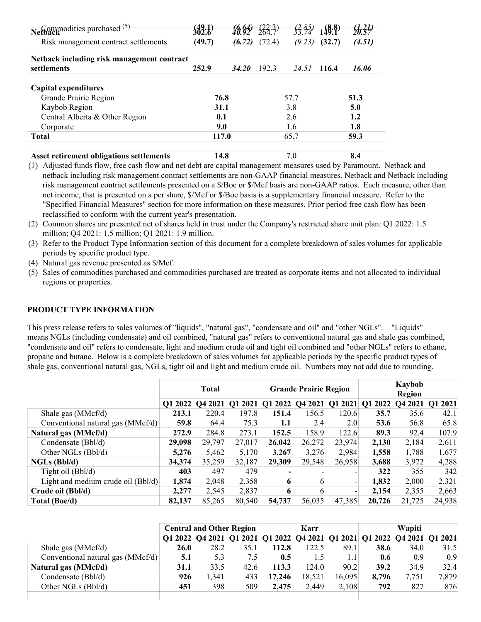| $\sqrt{\text{Commodities purchased}}^{(5)}$     |        |              | $\binom{22.3}{64.7}$ | $\frac{2.85}{33.74}$ | $\frac{18.8}{149.1}$ |        |
|-------------------------------------------------|--------|--------------|----------------------|----------------------|----------------------|--------|
|                                                 |        |              |                      |                      |                      |        |
| Risk management contract settlements            | (49.7) | (6.72)       | (72.4)               | (9.23)               | (32.7)               | (4.51) |
| Netback including risk management contract      |        |              |                      |                      |                      |        |
| settlements                                     | 252.9  | <b>34.20</b> | 192.3                | 24.51                | 116.4                | 16.06  |
| Capital expenditures                            |        |              |                      |                      |                      |        |
| Grande Prairie Region                           | 76.8   |              |                      | 57.7                 |                      | 51.3   |
| Kaybob Region                                   | 31.1   |              |                      | 3.8                  |                      | 5.0    |
| Central Alberta & Other Region                  | 0.1    |              |                      | 2.6                  |                      | 1.2    |
| Corporate                                       | 9.0    |              |                      | 1.6                  |                      | 1.8    |
| <b>Total</b>                                    | 117.0  |              |                      | 65.7                 |                      | 59.3   |
| <b>Asset retirement obligations settlements</b> | 14.8   |              |                      | 7.0                  |                      | 8.4    |

(1) Adjusted funds flow, free cash flow and net debt are capital management measures used by Paramount. Netback and netback including risk management contract settlements are non-GAAP financial measures. Netback and Netback including risk management contract settlements presented on a \$/Boe or \$/Mcf basis are non-GAAP ratios. Each measure, other than net income, that is presented on a per share, \$/Mcf or \$/Boe basis is a supplementary financial measure. Refer to the "Specified Financial Measures" section for more information on these measures. Prior period free cash flow has been reclassified to conform with the current year's presentation.

(2) Common shares are presented net of shares held in trust under the Company's restricted share unit plan: Q1 2022: 1.5 million; Q4 2021: 1.5 million; Q1 2021: 1.9 million.

(3) Refer to the Product Type Information section of this document for a complete breakdown of sales volumes for applicable periods by specific product type.

(4) Natural gas revenue presented as \$/Mcf.

(5) Sales of commodities purchased and commodities purchased are treated as corporate items and not allocated to individual regions or properties.

## **PRODUCT TYPE INFORMATION**

This press release refers to sales volumes of "liquids", "natural gas", "condensate and oil" and "other NGLs". "Liquids" means NGLs (including condensate) and oil combined, "natural gas" refers to conventional natural gas and shale gas combined, "condensate and oil" refers to condensate, light and medium crude oil and tight oil combined and "other NGLs" refers to ethane, propane and butane. Below is a complete breakdown of sales volumes for applicable periods by the specific product types of shale gas, conventional natural gas, NGLs, tight oil and light and medium crude oil. Numbers may not add due to rounding.

|                                    | <b>Total</b> |                 |        |         | <b>Grande Prairie Region</b> |         |         | Kaybob<br><b>Region</b> |         |  |
|------------------------------------|--------------|-----------------|--------|---------|------------------------------|---------|---------|-------------------------|---------|--|
|                                    |              | 01 2022 04 2021 | Q12021 | Q1 2022 | Q4 2021                      | Q1 2021 | Q1 2022 | Q4 2021                 | Q1 2021 |  |
| Shale gas (MMcf/d)                 | 213.1        | 220.4           | 197.8  | 151.4   | 156.5                        | 120.6   | 35.7    | 35.6                    | 42.1    |  |
| Conventional natural gas (MMcf/d)  | 59.8         | 64.4            | 75.3   | 1.1     | 2.4                          | 2.0     | 53.6    | 56.8                    | 65.8    |  |
| Natural gas (MMcf/d)               | 272.9        | 284.8           | 273.1  | 152.5   | 158.9                        | 122.6   | 89.3    | 92.4                    | 107.9   |  |
| Condensate (Bbl/d)                 | 29,098       | 29,797          | 27,017 | 26,042  | 26,272                       | 23,974  | 2,130   | 2,184                   | 2,611   |  |
| Other NGLs (Bbl/d)                 | 5.276        | 5,462           | 5,170  | 3.267   | 3,276                        | 2,984   | 1,558   | 1,788                   | 1,677   |  |
| $NGLs$ (Bbl/d)                     | 34,374       | 35,259          | 32,187 | 29,309  | 29,548                       | 26,958  | 3,688   | 3,972                   | 4,288   |  |
| Tight oil (Bbl/d)                  | 403          | 497             | 479    |         |                              |         | 322     | 355                     | 342     |  |
| Light and medium crude oil (Bbl/d) | 1,874        | 2,048           | 2,358  | 6       | 6                            |         | 1,832   | 2,000                   | 2,321   |  |
| Crude oil (Bbl/d)                  | 2,277        | 2,545           | 2,837  | 6       | 6                            |         | 2.154   | 2,355                   | 2,663   |  |
| Total (Boe/d)                      | 82,137       | 85,265          | 80,540 | 54,737  | 56,035                       | 47,385  | 20,726  | 21,725                  | 24,938  |  |

|                                   | <b>Central and Other Region</b> |       | Karr |                                                                         |        | Wapiti |             |       |       |
|-----------------------------------|---------------------------------|-------|------|-------------------------------------------------------------------------|--------|--------|-------------|-------|-------|
|                                   |                                 |       |      | Q1 2022 Q4 2021 Q1 2021 Q1 2022 Q4 2021 Q1 2021 Q1 2022 Q4 2021 Q1 2021 |        |        |             |       |       |
| Shale gas (MMcf/d)                | <b>26.0</b>                     | 28.2  | 35.1 | 112.8                                                                   | 122.5  | 89.1   | <b>38.6</b> | 34.0  | 31.5  |
| Conventional natural gas (MMcf/d) | 5.1                             | 5.3   | 7.51 | 0.5                                                                     | 1.5    |        | 0.6         | 0.9   | 0.9   |
| Natural gas (MMcf/d)              | 31.1                            | 33.5  | 42.6 | 113.3                                                                   | 124.0  | 90.2   | 39.2        | 34.9  | 32.4  |
| Condensate (Bbl/d)                | 926                             | 1,341 | 433  | 17.246                                                                  | 18,521 | 16,095 | 8,796       | 7.751 | 7,879 |
| Other NGLs (Bbl/d)                | 451                             | 398   | 509  | 2.475                                                                   | 2,449  | 2,108  | 792         | 827   | 876   |
|                                   |                                 |       |      |                                                                         |        |        |             |       |       |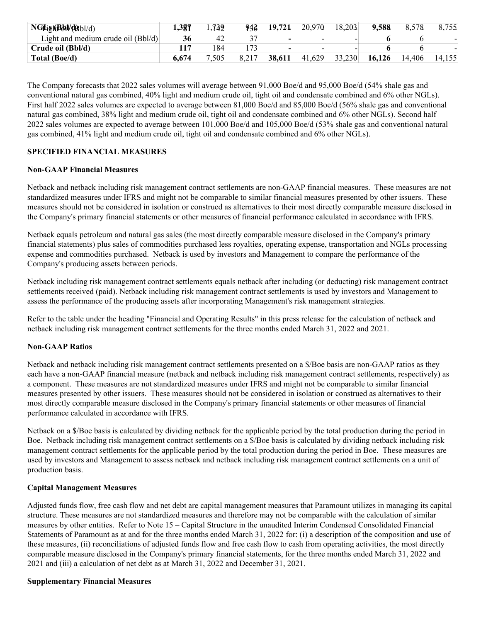| NGLightBbl/dbl/d)                  | 1,381 | 1,739 | 943  | 19,721 | 20.970                   | 18.203 | 9.588  | 8.578  | 8,755  |
|------------------------------------|-------|-------|------|--------|--------------------------|--------|--------|--------|--------|
| Light and medium crude oil (Bbl/d) |       | 42    |      |        | $\overline{\phantom{0}}$ |        |        |        |        |
| Crude oil (Bbl/d)                  |       | 184   | 73   |        | $\overline{\phantom{0}}$ |        |        |        |        |
| Total (Boe/d)                      | 6.674 | 7.505 | U.∠I | 38.611 | 41.629                   | 33,230 | 16.126 | 14.406 | 14,155 |

The Company forecasts that 2022 sales volumes will average between 91,000 Boe/d and 95,000 Boe/d (54% shale gas and conventional natural gas combined, 40% light and medium crude oil, tight oil and condensate combined and 6% other NGLs). First half 2022 sales volumes are expected to average between 81,000 Boe/d and 85,000 Boe/d (56% shale gas and conventional natural gas combined, 38% light and medium crude oil, tight oil and condensate combined and 6% other NGLs). Second half 2022 sales volumes are expected to average between 101,000 Boe/d and 105,000 Boe/d (53% shale gas and conventional natural gas combined, 41% light and medium crude oil, tight oil and condensate combined and 6% other NGLs).

## **SPECIFIED FINANCIAL MEASURES**

### **Non-GAAP Financial Measures**

Netback and netback including risk management contract settlements are non-GAAP financial measures. These measures are not standardized measures under IFRS and might not be comparable to similar financial measures presented by other issuers. These measures should not be considered in isolation or construed as alternatives to their most directly comparable measure disclosed in the Company's primary financial statements or other measures of financial performance calculated in accordance with IFRS.

Netback equals petroleum and natural gas sales (the most directly comparable measure disclosed in the Company's primary financial statements) plus sales of commodities purchased less royalties, operating expense, transportation and NGLs processing expense and commodities purchased. Netback is used by investors and Management to compare the performance of the Company's producing assets between periods.

Netback including risk management contract settlements equals netback after including (or deducting) risk management contract settlements received (paid). Netback including risk management contract settlements is used by investors and Management to assess the performance of the producing assets after incorporating Management's risk management strategies.

Refer to the table under the heading "Financial and Operating Results" in this press release for the calculation of netback and netback including risk management contract settlements for the three months ended March 31, 2022 and 2021.

#### **Non-GAAP Ratios**

Netback and netback including risk management contract settlements presented on a \$/Boe basis are non-GAAP ratios as they each have a non-GAAP financial measure (netback and netback including risk management contract settlements, respectively) as a component. These measures are not standardized measures under IFRS and might not be comparable to similar financial measures presented by other issuers. These measures should not be considered in isolation or construed as alternatives to their most directly comparable measure disclosed in the Company's primary financial statements or other measures of financial performance calculated in accordance with IFRS.

Netback on a \$/Boe basis is calculated by dividing netback for the applicable period by the total production during the period in Boe. Netback including risk management contract settlements on a \$/Boe basis is calculated by dividing netback including risk management contract settlements for the applicable period by the total production during the period in Boe. These measures are used by investors and Management to assess netback and netback including risk management contract settlements on a unit of production basis.

#### **Capital Management Measures**

Adjusted funds flow, free cash flow and net debt are capital management measures that Paramount utilizes in managing its capital structure. These measures are not standardized measures and therefore may not be comparable with the calculation of similar measures by other entities. Refer to Note 15 – Capital Structure in the unaudited Interim Condensed Consolidated Financial Statements of Paramount as at and for the three months ended March 31, 2022 for: (i) a description of the composition and use of these measures, (ii) reconciliations of adjusted funds flow and free cash flow to cash from operating activities, the most directly comparable measure disclosed in the Company's primary financial statements, for the three months ended March 31, 2022 and 2021 and (iii) a calculation of net debt as at March 31, 2022 and December 31, 2021.

#### **Supplementary Financial Measures**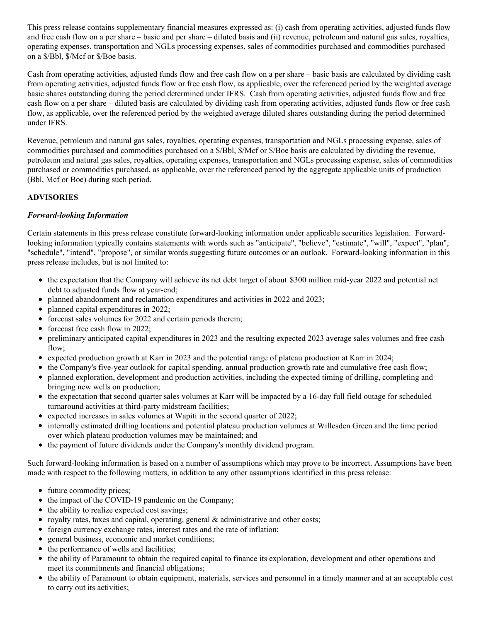This press release contains supplementary financial measures expressed as: (i) cash from operating activities, adjusted funds flow and free cash flow on a per share – basic and per share – diluted basis and (ii) revenue, petroleum and natural gas sales, royalties, operating expenses, transportation and NGLs processing expenses, sales of commodities purchased and commodities purchased on a \$/Bbl, \$/Mcf or \$/Boe basis.

Cash from operating activities, adjusted funds flow and free cash flow on a per share – basic basis are calculated by dividing cash from operating activities, adjusted funds flow or free cash flow, as applicable, over the referenced period by the weighted average basic shares outstanding during the period determined under IFRS. Cash from operating activities, adjusted funds flow and free cash flow on a per share – diluted basis are calculated by dividing cash from operating activities, adjusted funds flow or free cash flow, as applicable, over the referenced period by the weighted average diluted shares outstanding during the period determined under IFRS.

Revenue, petroleum and natural gas sales, royalties, operating expenses, transportation and NGLs processing expense, sales of commodities purchased and commodities purchased on a \$/Bbl, \$/Mcf or \$/Boe basis are calculated by dividing the revenue, petroleum and natural gas sales, royalties, operating expenses, transportation and NGLs processing expense, sales of commodities purchased or commodities purchased, as applicable, over the referenced period by the aggregate applicable units of production (Bbl, Mcf or Boe) during such period.

#### **ADVISORIES**

#### *Forward-looking Information*

Certain statements in this press release constitute forward-looking information under applicable securities legislation. Forwardlooking information typically contains statements with words such as "anticipate", "believe", "estimate", "will", "expect", "plan", "schedule", "intend", "propose", or similar words suggesting future outcomes or an outlook. Forward-looking information in this press release includes, but is not limited to:

- the expectation that the Company will achieve its net debt target of about \$300 million mid-year 2022 and potential net debt to adjusted funds flow at year-end;
- planned abandonment and reclamation expenditures and activities in 2022 and 2023;
- planned capital expenditures in 2022;
- forecast sales volumes for 2022 and certain periods therein;
- forecast free cash flow in 2022;
- preliminary anticipated capital expenditures in 2023 and the resulting expected 2023 average sales volumes and free cash flow:
- expected production growth at Karr in 2023 and the potential range of plateau production at Karr in 2024;
- the Company's five-year outlook for capital spending, annual production growth rate and cumulative free cash flow;
- planned exploration, development and production activities, including the expected timing of drilling, completing and bringing new wells on production;
- the expectation that second quarter sales volumes at Karr will be impacted by a 16-day full field outage for scheduled turnaround activities at third-party midstream facilities;
- expected increases in sales volumes at Wapiti in the second quarter of 2022;
- internally estimated drilling locations and potential plateau production volumes at Willesden Green and the time period over which plateau production volumes may be maintained; and
- the payment of future dividends under the Company's monthly dividend program.

Such forward-looking information is based on a number of assumptions which may prove to be incorrect. Assumptions have been made with respect to the following matters, in addition to any other assumptions identified in this press release:

- future commodity prices;
- the impact of the COVID-19 pandemic on the Company;
- the ability to realize expected cost savings;
- royalty rates, taxes and capital, operating, general  $\&$  administrative and other costs;
- foreign currency exchange rates, interest rates and the rate of inflation;
- general business, economic and market conditions;
- the performance of wells and facilities;
- the ability of Paramount to obtain the required capital to finance its exploration, development and other operations and meet its commitments and financial obligations;
- the ability of Paramount to obtain equipment, materials, services and personnel in a timely manner and at an acceptable cost to carry out its activities;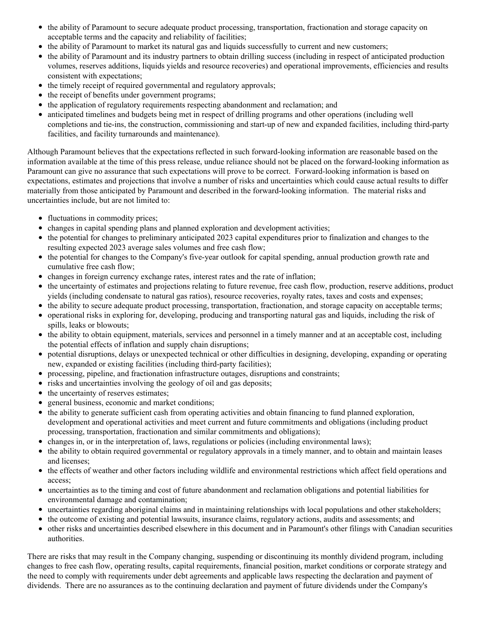- the ability of Paramount to secure adequate product processing, transportation, fractionation and storage capacity on acceptable terms and the capacity and reliability of facilities;
- the ability of Paramount to market its natural gas and liquids successfully to current and new customers;
- the ability of Paramount and its industry partners to obtain drilling success (including in respect of anticipated production volumes, reserves additions, liquids yields and resource recoveries) and operational improvements, efficiencies and results consistent with expectations;
- the timely receipt of required governmental and regulatory approvals;
- the receipt of benefits under government programs;
- the application of regulatory requirements respecting abandonment and reclamation; and
- anticipated timelines and budgets being met in respect of drilling programs and other operations (including well completions and tie-ins, the construction, commissioning and start-up of new and expanded facilities, including third-party facilities, and facility turnarounds and maintenance).

Although Paramount believes that the expectations reflected in such forward-looking information are reasonable based on the information available at the time of this press release, undue reliance should not be placed on the forward-looking information as Paramount can give no assurance that such expectations will prove to be correct. Forward-looking information is based on expectations, estimates and projections that involve a number of risks and uncertainties which could cause actual results to differ materially from those anticipated by Paramount and described in the forward-looking information. The material risks and uncertainties include, but are not limited to:

- fluctuations in commodity prices;
- changes in capital spending plans and planned exploration and development activities;
- the potential for changes to preliminary anticipated 2023 capital expenditures prior to finalization and changes to the resulting expected 2023 average sales volumes and free cash flow;
- the potential for changes to the Company's five-year outlook for capital spending, annual production growth rate and cumulative free cash flow;
- changes in foreign currency exchange rates, interest rates and the rate of inflation;
- the uncertainty of estimates and projections relating to future revenue, free cash flow, production, reserve additions, product yields (including condensate to natural gas ratios), resource recoveries, royalty rates, taxes and costs and expenses;
- the ability to secure adequate product processing, transportation, fractionation, and storage capacity on acceptable terms;
- operational risks in exploring for, developing, producing and transporting natural gas and liquids, including the risk of spills, leaks or blowouts;
- the ability to obtain equipment, materials, services and personnel in a timely manner and at an acceptable cost, including the potential effects of inflation and supply chain disruptions;
- potential disruptions, delays or unexpected technical or other difficulties in designing, developing, expanding or operating new, expanded or existing facilities (including third-party facilities);
- processing, pipeline, and fractionation infrastructure outages, disruptions and constraints;
- risks and uncertainties involving the geology of oil and gas deposits;
- the uncertainty of reserves estimates;
- general business, economic and market conditions;
- the ability to generate sufficient cash from operating activities and obtain financing to fund planned exploration, development and operational activities and meet current and future commitments and obligations (including product processing, transportation, fractionation and similar commitments and obligations);
- changes in, or in the interpretation of, laws, regulations or policies (including environmental laws);
- the ability to obtain required governmental or regulatory approvals in a timely manner, and to obtain and maintain leases and licenses;
- the effects of weather and other factors including wildlife and environmental restrictions which affect field operations and access;
- uncertainties as to the timing and cost of future abandonment and reclamation obligations and potential liabilities for environmental damage and contamination;
- uncertainties regarding aboriginal claims and in maintaining relationships with local populations and other stakeholders;
- the outcome of existing and potential lawsuits, insurance claims, regulatory actions, audits and assessments; and
- other risks and uncertainties described elsewhere in this document and in Paramount's other filings with Canadian securities authorities.

There are risks that may result in the Company changing, suspending or discontinuing its monthly dividend program, including changes to free cash flow, operating results, capital requirements, financial position, market conditions or corporate strategy and the need to comply with requirements under debt agreements and applicable laws respecting the declaration and payment of dividends. There are no assurances as to the continuing declaration and payment of future dividends under the Company's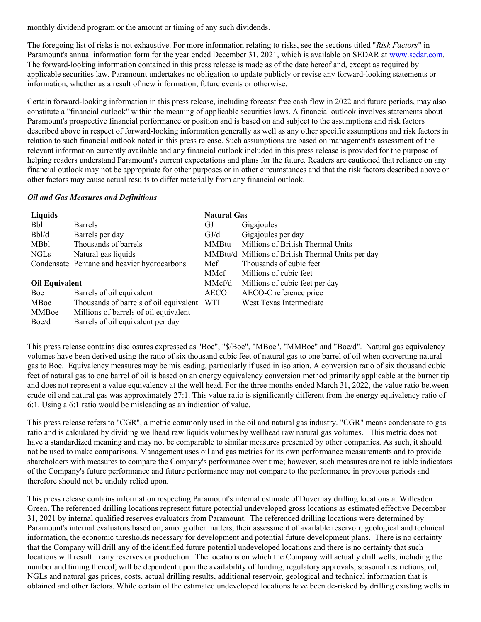monthly dividend program or the amount or timing of any such dividends.

The foregoing list of risks is not exhaustive. For more information relating to risks, see the sections titled "*Risk Factors*" in Paramount's annual information form for the year ended December 31, 2021, which is available on SEDAR at [www.sedar.com](https://c212.net/c/link/?t=0&l=en&o=3523818-1&h=2593788968&u=http%3A%2F%2Fwww.sedar.com%2F&a=www.sedar.com). The forward-looking information contained in this press release is made as of the date hereof and, except as required by applicable securities law, Paramount undertakes no obligation to update publicly or revise any forward-looking statements or information, whether as a result of new information, future events or otherwise.

Certain forward-looking information in this press release, including forecast free cash flow in 2022 and future periods, may also constitute a "financial outlook" within the meaning of applicable securities laws. A financial outlook involves statements about Paramount's prospective financial performance or position and is based on and subject to the assumptions and risk factors described above in respect of forward-looking information generally as well as any other specific assumptions and risk factors in relation to such financial outlook noted in this press release. Such assumptions are based on management's assessment of the relevant information currently available and any financial outlook included in this press release is provided for the purpose of helping readers understand Paramount's current expectations and plans for the future. Readers are cautioned that reliance on any financial outlook may not be appropriate for other purposes or in other circumstances and that the risk factors described above or other factors may cause actual results to differ materially from any financial outlook.

#### *Oil and Gas Measures and Definitions*

| Liquids               |                                             | <b>Natural Gas</b> |                                                   |
|-----------------------|---------------------------------------------|--------------------|---------------------------------------------------|
| <b>Bbl</b>            | Barrels                                     | GJ                 | Gigajoules                                        |
| Bbl/d                 | Barrels per day                             | GJ/d               | Gigajoules per day                                |
| <b>MBbl</b>           | Thousands of barrels                        | <b>MMBtu</b>       | Millions of British Thermal Units                 |
| <b>NGLs</b>           | Natural gas liquids                         |                    | MMBtu/d Millions of British Thermal Units per day |
|                       | Condensate Pentane and heavier hydrocarbons | Mcf                | Thousands of cubic feet                           |
|                       |                                             | MMcf               | Millions of cubic feet                            |
| <b>Oil Equivalent</b> |                                             | MMcf/d             | Millions of cubic feet per day                    |
| Boe                   | Barrels of oil equivalent                   | <b>AECO</b>        | AECO-C reference price                            |
| MBoe                  | Thousands of barrels of oil equivalent      | <b>WTI</b>         | West Texas Intermediate                           |
| <b>MMBoe</b>          | Millions of barrels of oil equivalent       |                    |                                                   |
| Boe/d                 | Barrels of oil equivalent per day           |                    |                                                   |

This press release contains disclosures expressed as "Boe", "\$/Boe", "MBoe", "MMBoe" and "Boe/d". Natural gas equivalency volumes have been derived using the ratio of six thousand cubic feet of natural gas to one barrel of oil when converting natural gas to Boe. Equivalency measures may be misleading, particularly if used in isolation. A conversion ratio of six thousand cubic feet of natural gas to one barrel of oil is based on an energy equivalency conversion method primarily applicable at the burner tip and does not represent a value equivalency at the well head. For the three months ended March 31, 2022, the value ratio between crude oil and natural gas was approximately 27:1. This value ratio is significantly different from the energy equivalency ratio of 6:1. Using a 6:1 ratio would be misleading as an indication of value.

This press release refers to "CGR", a metric commonly used in the oil and natural gas industry. "CGR" means condensate to gas ratio and is calculated by dividing wellhead raw liquids volumes by wellhead raw natural gas volumes. This metric does not have a standardized meaning and may not be comparable to similar measures presented by other companies. As such, it should not be used to make comparisons. Management uses oil and gas metrics for its own performance measurements and to provide shareholders with measures to compare the Company's performance over time; however, such measures are not reliable indicators of the Company's future performance and future performance may not compare to the performance in previous periods and therefore should not be unduly relied upon.

This press release contains information respecting Paramount's internal estimate of Duvernay drilling locations at Willesden Green. The referenced drilling locations represent future potential undeveloped gross locations as estimated effective December 31, 2021 by internal qualified reserves evaluators from Paramount. The referenced drilling locations were determined by Paramount's internal evaluators based on, among other matters, their assessment of available reservoir, geological and technical information, the economic thresholds necessary for development and potential future development plans. There is no certainty that the Company will drill any of the identified future potential undeveloped locations and there is no certainty that such locations will result in any reserves or production. The locations on which the Company will actually drill wells, including the number and timing thereof, will be dependent upon the availability of funding, regulatory approvals, seasonal restrictions, oil, NGLs and natural gas prices, costs, actual drilling results, additional reservoir, geological and technical information that is obtained and other factors. While certain of the estimated undeveloped locations have been de-risked by drilling existing wells in